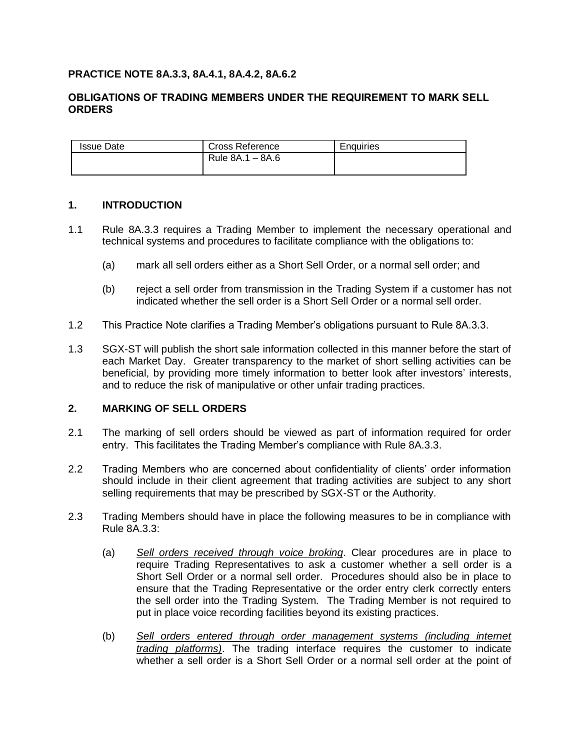# **PRACTICE NOTE 8A.3.3, 8A.4.1, 8A.4.2, 8A.6.2**

## **OBLIGATIONS OF TRADING MEMBERS UNDER THE REQUIREMENT TO MARK SELL ORDERS**

| <b>Issue Date</b> | Cross Reference  | Enquiries |
|-------------------|------------------|-----------|
|                   | Rule 8A.1 – 8A.6 |           |

## **1. INTRODUCTION**

- 1.1 Rule 8A.3.3 requires a Trading Member to implement the necessary operational and technical systems and procedures to facilitate compliance with the obligations to:
	- (a) mark all sell orders either as a Short Sell Order, or a normal sell order; and
	- (b) reject a sell order from transmission in the Trading System if a customer has not indicated whether the sell order is a Short Sell Order or a normal sell order.
- 1.2 This Practice Note clarifies a Trading Member's obligations pursuant to Rule 8A.3.3.
- 1.3 SGX-ST will publish the short sale information collected in this manner before the start of each Market Day. Greater transparency to the market of short selling activities can be beneficial, by providing more timely information to better look after investors' interests, and to reduce the risk of manipulative or other unfair trading practices.

## **2. MARKING OF SELL ORDERS**

- 2.1 The marking of sell orders should be viewed as part of information required for order entry. This facilitates the Trading Member's compliance with Rule 8A.3.3.
- 2.2 Trading Members who are concerned about confidentiality of clients' order information should include in their client agreement that trading activities are subject to any short selling requirements that may be prescribed by SGX-ST or the Authority.
- 2.3 Trading Members should have in place the following measures to be in compliance with Rule 8A.3.3:
	- (a) *Sell orders received through voice broking*. Clear procedures are in place to require Trading Representatives to ask a customer whether a sell order is a Short Sell Order or a normal sell order. Procedures should also be in place to ensure that the Trading Representative or the order entry clerk correctly enters the sell order into the Trading System. The Trading Member is not required to put in place voice recording facilities beyond its existing practices.
	- (b) *Sell orders entered through order management systems (including internet trading platforms)*. The trading interface requires the customer to indicate whether a sell order is a Short Sell Order or a normal sell order at the point of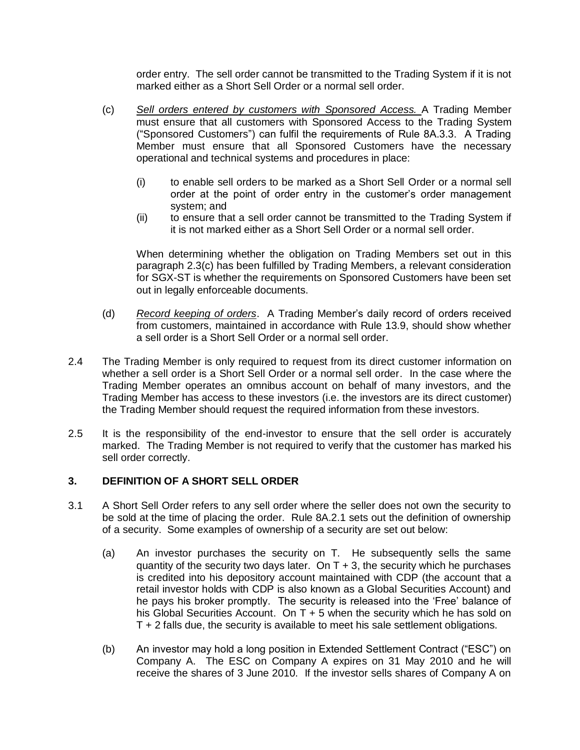order entry. The sell order cannot be transmitted to the Trading System if it is not marked either as a Short Sell Order or a normal sell order.

- (c) *Sell orders entered by customers with Sponsored Access.* A Trading Member must ensure that all customers with Sponsored Access to the Trading System ("Sponsored Customers") can fulfil the requirements of Rule 8A.3.3. A Trading Member must ensure that all Sponsored Customers have the necessary operational and technical systems and procedures in place:
	- (i) to enable sell orders to be marked as a Short Sell Order or a normal sell order at the point of order entry in the customer's order management system; and
	- (ii) to ensure that a sell order cannot be transmitted to the Trading System if it is not marked either as a Short Sell Order or a normal sell order.

When determining whether the obligation on Trading Members set out in this paragraph 2.3(c) has been fulfilled by Trading Members, a relevant consideration for SGX-ST is whether the requirements on Sponsored Customers have been set out in legally enforceable documents.

- (d) *Record keeping of orders*. A Trading Member's daily record of orders received from customers, maintained in accordance with Rule 13.9, should show whether a sell order is a Short Sell Order or a normal sell order.
- 2.4 The Trading Member is only required to request from its direct customer information on whether a sell order is a Short Sell Order or a normal sell order. In the case where the Trading Member operates an omnibus account on behalf of many investors, and the Trading Member has access to these investors (i.e. the investors are its direct customer) the Trading Member should request the required information from these investors.
- 2.5 It is the responsibility of the end-investor to ensure that the sell order is accurately marked. The Trading Member is not required to verify that the customer has marked his sell order correctly.

# **3. DEFINITION OF A SHORT SELL ORDER**

- 3.1 A Short Sell Order refers to any sell order where the seller does not own the security to be sold at the time of placing the order. Rule 8A.2.1 sets out the definition of ownership of a security. Some examples of ownership of a security are set out below:
	- (a) An investor purchases the security on T. He subsequently sells the same quantity of the security two days later. On  $T + 3$ , the security which he purchases is credited into his depository account maintained with CDP (the account that a retail investor holds with CDP is also known as a Global Securities Account) and he pays his broker promptly. The security is released into the 'Free' balance of his Global Securities Account. On  $T + 5$  when the security which he has sold on T + 2 falls due, the security is available to meet his sale settlement obligations.
	- (b) An investor may hold a long position in Extended Settlement Contract ("ESC") on Company A. The ESC on Company A expires on 31 May 2010 and he will receive the shares of 3 June 2010. If the investor sells shares of Company A on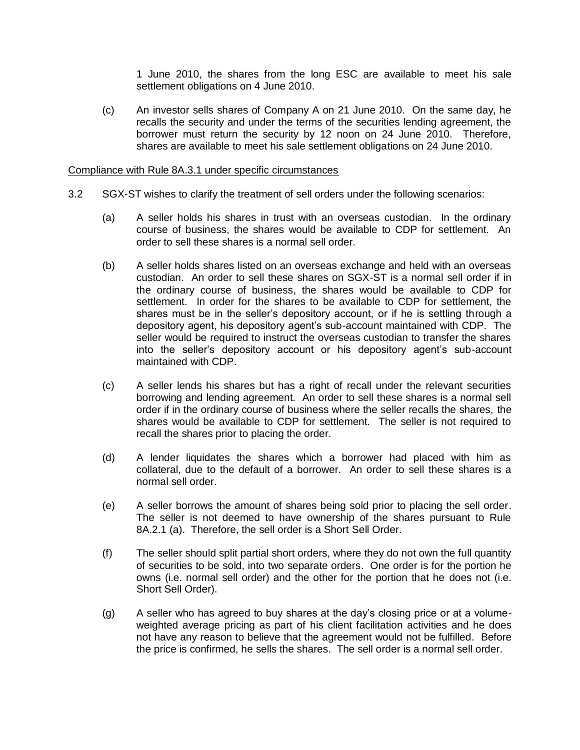1 June 2010, the shares from the long ESC are available to meet his sale settlement obligations on 4 June 2010.

(c) An investor sells shares of Company A on 21 June 2010. On the same day, he recalls the security and under the terms of the securities lending agreement, the borrower must return the security by 12 noon on 24 June 2010. Therefore, shares are available to meet his sale settlement obligations on 24 June 2010.

#### Compliance with Rule 8A.3.1 under specific circumstances

- 3.2 SGX-ST wishes to clarify the treatment of sell orders under the following scenarios:
	- (a) A seller holds his shares in trust with an overseas custodian. In the ordinary course of business, the shares would be available to CDP for settlement. An order to sell these shares is a normal sell order.
	- (b) A seller holds shares listed on an overseas exchange and held with an overseas custodian. An order to sell these shares on SGX-ST is a normal sell order if in the ordinary course of business, the shares would be available to CDP for settlement. In order for the shares to be available to CDP for settlement, the shares must be in the seller's depository account, or if he is settling through a depository agent, his depository agent's sub-account maintained with CDP. The seller would be required to instruct the overseas custodian to transfer the shares into the seller's depository account or his depository agent's sub-account maintained with CDP.
	- (c) A seller lends his shares but has a right of recall under the relevant securities borrowing and lending agreement. An order to sell these shares is a normal sell order if in the ordinary course of business where the seller recalls the shares, the shares would be available to CDP for settlement. The seller is not required to recall the shares prior to placing the order.
	- (d) A lender liquidates the shares which a borrower had placed with him as collateral, due to the default of a borrower. An order to sell these shares is a normal sell order.
	- (e) A seller borrows the amount of shares being sold prior to placing the sell order. The seller is not deemed to have ownership of the shares pursuant to Rule 8A.2.1 (a). Therefore, the sell order is a Short Sell Order.
	- (f) The seller should split partial short orders, where they do not own the full quantity of securities to be sold, into two separate orders. One order is for the portion he owns (i.e. normal sell order) and the other for the portion that he does not (i.e. Short Sell Order).
	- (g) A seller who has agreed to buy shares at the day's closing price or at a volumeweighted average pricing as part of his client facilitation activities and he does not have any reason to believe that the agreement would not be fulfilled. Before the price is confirmed, he sells the shares. The sell order is a normal sell order.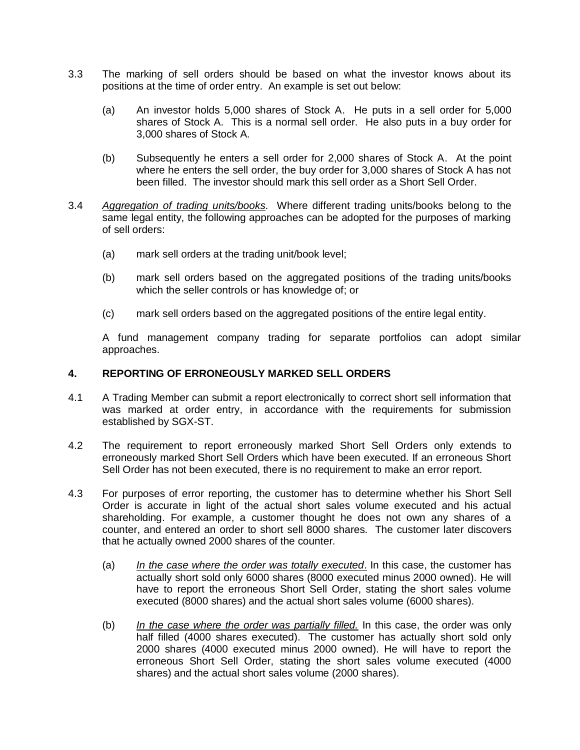- 3.3 The marking of sell orders should be based on what the investor knows about its positions at the time of order entry. An example is set out below:
	- (a) An investor holds 5,000 shares of Stock A. He puts in a sell order for 5,000 shares of Stock A. This is a normal sell order. He also puts in a buy order for 3,000 shares of Stock A.
	- (b) Subsequently he enters a sell order for 2,000 shares of Stock A. At the point where he enters the sell order, the buy order for 3,000 shares of Stock A has not been filled. The investor should mark this sell order as a Short Sell Order.
- 3.4 *Aggregation of trading units/books*. Where different trading units/books belong to the same legal entity, the following approaches can be adopted for the purposes of marking of sell orders:
	- (a) mark sell orders at the trading unit/book level;
	- (b) mark sell orders based on the aggregated positions of the trading units/books which the seller controls or has knowledge of; or
	- (c) mark sell orders based on the aggregated positions of the entire legal entity.

A fund management company trading for separate portfolios can adopt similar approaches.

#### **4. REPORTING OF ERRONEOUSLY MARKED SELL ORDERS**

- 4.1 A Trading Member can submit a report electronically to correct short sell information that was marked at order entry, in accordance with the requirements for submission established by SGX-ST.
- 4.2 The requirement to report erroneously marked Short Sell Orders only extends to erroneously marked Short Sell Orders which have been executed. If an erroneous Short Sell Order has not been executed, there is no requirement to make an error report.
- 4.3 For purposes of error reporting, the customer has to determine whether his Short Sell Order is accurate in light of the actual short sales volume executed and his actual shareholding. For example, a customer thought he does not own any shares of a counter, and entered an order to short sell 8000 shares. The customer later discovers that he actually owned 2000 shares of the counter.
	- (a) *In the case where the order was totally executed*. In this case, the customer has actually short sold only 6000 shares (8000 executed minus 2000 owned). He will have to report the erroneous Short Sell Order, stating the short sales volume executed (8000 shares) and the actual short sales volume (6000 shares).
	- (b) *In the case where the order was partially filled.* In this case, the order was only half filled (4000 shares executed). The customer has actually short sold only 2000 shares (4000 executed minus 2000 owned). He will have to report the erroneous Short Sell Order, stating the short sales volume executed (4000 shares) and the actual short sales volume (2000 shares).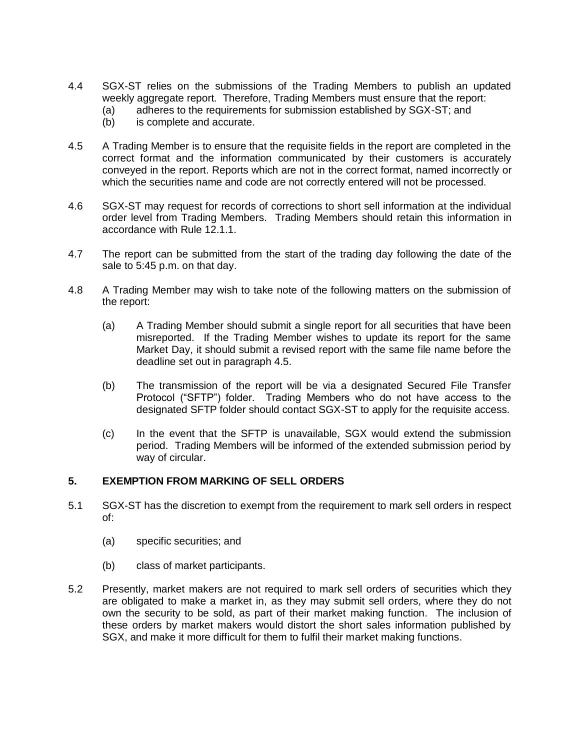- 4.4 SGX-ST relies on the submissions of the Trading Members to publish an updated weekly aggregate report. Therefore, Trading Members must ensure that the report:
	- (a) adheres to the requirements for submission established by SGX-ST; and
	- (b) is complete and accurate.
- 4.5 A Trading Member is to ensure that the requisite fields in the report are completed in the correct format and the information communicated by their customers is accurately conveyed in the report. Reports which are not in the correct format, named incorrectly or which the securities name and code are not correctly entered will not be processed.
- 4.6 SGX-ST may request for records of corrections to short sell information at the individual order level from Trading Members. Trading Members should retain this information in accordance with Rule 12.1.1.
- 4.7 The report can be submitted from the start of the trading day following the date of the sale to 5:45 p.m. on that day.
- 4.8 A Trading Member may wish to take note of the following matters on the submission of the report:
	- (a) A Trading Member should submit a single report for all securities that have been misreported. If the Trading Member wishes to update its report for the same Market Day, it should submit a revised report with the same file name before the deadline set out in paragraph 4.5.
	- (b) The transmission of the report will be via a designated Secured File Transfer Protocol ("SFTP") folder. Trading Members who do not have access to the designated SFTP folder should contact SGX-ST to apply for the requisite access.
	- (c) In the event that the SFTP is unavailable, SGX would extend the submission period. Trading Members will be informed of the extended submission period by way of circular.

# **5. EXEMPTION FROM MARKING OF SELL ORDERS**

- 5.1 SGX-ST has the discretion to exempt from the requirement to mark sell orders in respect of:
	- (a) specific securities; and
	- (b) class of market participants.
- 5.2 Presently, market makers are not required to mark sell orders of securities which they are obligated to make a market in, as they may submit sell orders, where they do not own the security to be sold, as part of their market making function. The inclusion of these orders by market makers would distort the short sales information published by SGX, and make it more difficult for them to fulfil their market making functions.